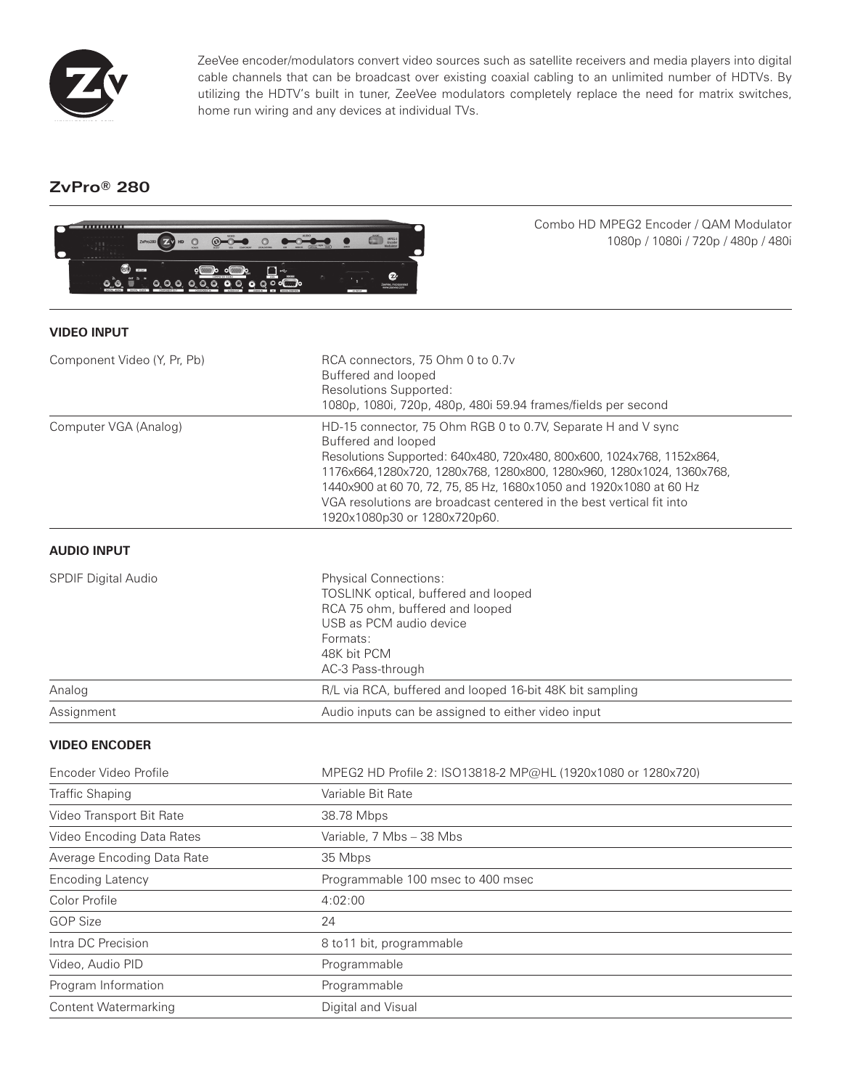

ZeeVee encoder/modulators convert video sources such as satellite receivers and media players into digital cable channels that can be broadcast over existing coaxial cabling to an unlimited number of HDTVs. By utilizing the HDTV's built in tuner, ZeeVee modulators completely replace the need for matrix switches, home run wiring and any devices at individual TVs.

# **ZvPro® 280**



Combo HD MPEG2 Encoder / QAM Modulator 1080p / 1080i / 720p / 480p / 480i

## **VIDEO INPUT**

| Component Video (Y, Pr, Pb) | RCA connectors, 75 Ohm 0 to 0.7y                                                                                                                                                                                                                                                                                                                                                                                    |
|-----------------------------|---------------------------------------------------------------------------------------------------------------------------------------------------------------------------------------------------------------------------------------------------------------------------------------------------------------------------------------------------------------------------------------------------------------------|
|                             | Buffered and looped                                                                                                                                                                                                                                                                                                                                                                                                 |
|                             | <b>Resolutions Supported:</b><br>1080p, 1080i, 720p, 480p, 480i 59.94 frames/fields per second                                                                                                                                                                                                                                                                                                                      |
| Computer VGA (Analog)       | HD-15 connector, 75 Ohm RGB 0 to 0.7V, Separate H and V sync<br>Buffered and looped<br>Resolutions Supported: 640x480, 720x480, 800x600, 1024x768, 1152x864,<br>1176x664,1280x720, 1280x768, 1280x800, 1280x960, 1280x1024, 1360x768,<br>1440x900 at 60 70, 72, 75, 85 Hz, 1680x1050 and 1920x1080 at 60 Hz<br>VGA resolutions are broadcast centered in the best vertical fit into<br>1920x1080p30 or 1280x720p60. |
| <b>AUDIO INPUT</b>          |                                                                                                                                                                                                                                                                                                                                                                                                                     |
| <b>SPDIF Digital Audio</b>  | <b>Physical Connections:</b><br>TOSLINK optical, buffered and looped<br>RCA 75 ohm, buffered and looped<br>USB as PCM audio device<br>Formats:<br>48K bit PCM<br>AC-3 Pass-through                                                                                                                                                                                                                                  |
| Analog                      | R/L via RCA, buffered and looped 16-bit 48K bit sampling                                                                                                                                                                                                                                                                                                                                                            |
| Assignment                  | Audio inputs can be assigned to either video input                                                                                                                                                                                                                                                                                                                                                                  |
| <b>VIDEO ENCODER</b>        |                                                                                                                                                                                                                                                                                                                                                                                                                     |

| Encoder Video Profile      | MPEG2 HD Profile 2: ISO13818-2 MP@HL (1920x1080 or 1280x720) |
|----------------------------|--------------------------------------------------------------|
| <b>Traffic Shaping</b>     | Variable Bit Rate                                            |
| Video Transport Bit Rate   | 38.78 Mbps                                                   |
| Video Encoding Data Rates  | Variable, 7 Mbs - 38 Mbs                                     |
| Average Encoding Data Rate | 35 Mbps                                                      |
| <b>Encoding Latency</b>    | Programmable 100 msec to 400 msec                            |
| Color Profile              | 4:02:00                                                      |
| <b>GOP Size</b>            | 24                                                           |
| Intra DC Precision         | 8 to 11 bit, programmable                                    |
| Video, Audio PID           | Programmable                                                 |
| Program Information        | Programmable                                                 |
| Content Watermarking       | Digital and Visual                                           |